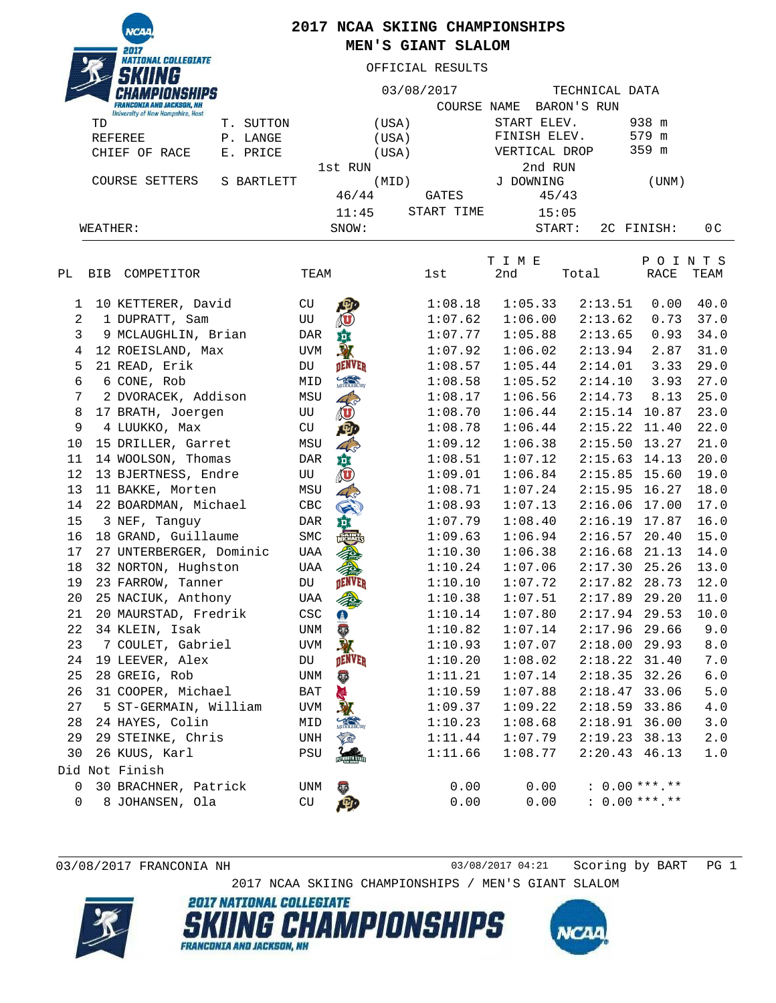**NCAI** NATIONAL COLLEGIATE

## **2017 NCAA SKIING CHAMPIONSHIPS MEN'S GIANT SLALOM**

OFFICIAL RESULTS

| $\sim$<br><b>FRANCONIA AND JACKSON, NH</b><br><b>University of New Hampshire, Hast</b> |              |             | 03/08/2017<br>COURSE | NAME          | TECHNICAL DATA<br>BARON'S RUN |               |                |
|----------------------------------------------------------------------------------------|--------------|-------------|----------------------|---------------|-------------------------------|---------------|----------------|
| TD                                                                                     | Τ.<br>SUTTON |             | (USA)                | START ELEV.   |                               | 938 m         |                |
| REFEREE                                                                                | LANGE<br>P.  |             | (USA)                | FINISH ELEV.  |                               | 579<br>m      |                |
| CHIEF OF RACE                                                                          | E. PRICE     |             | (USA)                | VERTICAL DROP |                               | 359 m         |                |
|                                                                                        |              | 1st RUN     |                      | 2nd RUN       |                               |               |                |
| COURSE<br>SETTERS<br>BARTLETT<br>S.                                                    |              | (MID)       |                      | J DOWNING     |                               | (UNM)         |                |
|                                                                                        |              | 46/44       | GATES                | 45/43         |                               |               |                |
|                                                                                        |              | 11:45       | START TIME           | 15:05         |                               |               |                |
| WEATHER:                                                                               |              | SNOW:       |                      | START:        |                               | 2C FINISH:    | 0 <sup>C</sup> |
|                                                                                        |              |             |                      | T I M E       |                               | P<br>$\Omega$ | N T S          |
| РL<br>COMPETITOR<br><b>BIB</b>                                                         |              | TEAM        | lst                  | 2nd           | Total                         | RACE          | TEAM           |
| 10 KETTERER, David                                                                     |              | CU<br>写     | 1:08.18              | 1:05.33       | 2:13.51                       | 0.00          | 40.0           |
| DUPRATT, Sam                                                                           |              | <b>TITT</b> | 1:07.62              | 1:06.00       | 2:13.62                       | 0.73          | 37.0           |

| 2  | 1 DUPRATT, Sam          | UU          | (U                    | 1:07.62 | 1:06.00 | 2:13.62         | 0.73  | 37.0              |
|----|-------------------------|-------------|-----------------------|---------|---------|-----------------|-------|-------------------|
| 3  | 9 MCLAUGHLIN, Brian     | <b>DAR</b>  | 尊                     | 1:07.77 | 1:05.88 | 2:13.65         | 0.93  | 34.0              |
| 4  | 12 ROEISLAND, Max       | UVM         |                       | 1:07.92 | 1:06.02 | 2:13.94         | 2.87  | 31.0              |
| 5  | 21 READ, Erik           | DU          | <b>DENVER</b>         | 1:08.57 | 1:05.44 | 2:14.01         | 3.33  | 29.0              |
| 6  | 6 CONE, Rob             | MID         | MIDDLEBURY            | 1:08.58 | 1:05.52 | 2:14.10         | 3.93  | 27.0              |
| 7  | 2 DVORACEK, Addison     | MSU         |                       | 1:08.17 | 1:06.56 | 2:14.73         | 8.13  | 25.0              |
| 8  | 17 BRATH, Joergen       | UU          | <b>O</b>              | 1:08.70 | 1:06.44 | $2:15.14$ 10.87 |       | 23.0              |
| 9  | 4 LUUKKO, Max           | CU          | ゆ                     | 1:08.78 | 1:06.44 | $2:15.22$ 11.40 |       | 22.0              |
| 10 | 15 DRILLER, Garret      | MSU         | $4\frac{1}{5}$        | 1:09.12 | 1:06.38 | $2:15.50$ 13.27 |       | 21.0              |
| 11 | 14 WOOLSON, Thomas      | DAR         |                       | 1:08.51 | 1:07.12 | $2:15.63$ 14.13 |       | 20.0              |
| 12 | 13 BJERTNESS, Endre     | UU          | 意の                    | 1:09.01 | 1:06.84 | 2:15.85 15.60   |       | 19.0              |
| 13 | 11 BAKKE, Morten        | MSU         | 43                    | 1:08.71 | 1:07.24 | $2:15.95$ 16.27 |       | 18.0              |
| 14 | 22 BOARDMAN, Michael    | CBC         | G                     | 1:08.93 | 1:07.13 | 2:16.06         | 17.00 | 17.0              |
| 15 | 3 NEF, Tanquy           | DAR         | 道                     | 1:07.79 | 1:08.40 | 2:16.19 17.87   |       | 16.0              |
| 16 | 18 GRAND, Guillaume     | ${\tt SMC}$ |                       | 1:09.63 | 1:06.94 | $2:16.57$ 20.40 |       | 15.0              |
| 17 | 27 UNTERBERGER, Dominic | UAA         |                       | 1:10.30 | 1:06.38 | 2:16.68         | 21.13 | 14.0              |
| 18 | 32 NORTON, Hughston     | UAA         |                       | 1:10.24 | 1:07.06 | $2:17.30$ 25.26 |       | 13.0              |
| 19 | 23 FARROW, Tanner       | DU          | <b>DENVER</b>         | 1:10.10 | 1:07.72 | 2:17.82 28.73   |       | 12.0              |
| 20 | 25 NACIUK, Anthony      | UAA         |                       | 1:10.38 | 1:07.51 | 2:17.89         | 29.20 | 11.0              |
| 21 | 20 MAURSTAD, Fredrik    | CSC         | $\bigoplus$           | 1:10.14 | 1:07.80 | $2:17.94$ 29.53 |       | 10.0              |
| 22 | 34 KLEIN, Isak          | UNM         | <b>City</b>           | 1:10.82 | 1:07.14 | $2:17.96$ 29.66 |       | 9.0               |
| 23 | 7 COULET, Gabriel       | UVM         | 取                     | 1:10.93 | 1:07.07 | $2:18.00$ 29.93 |       | $\bf 8$ . $\bf 0$ |
| 24 | 19 LEEVER, Alex         | DU          | <b>DENVER</b>         | 1:10.20 | 1:08.02 | $2:18.22$ 31.40 |       | 7.0               |
| 25 | 28 GREIG, Rob           | UNM         | <b>CENT</b>           | 1:11.21 | 1:07.14 | $2:18.35$ 32.26 |       | $6.0$             |
| 26 | 31 COOPER, Michael      | BAT         |                       | 1:10.59 | 1:07.88 | 2:18.47 33.06   |       | $5.0$             |
| 27 | 5 ST-GERMAIN, William   | UVM         |                       | 1:09.37 | 1:09.22 | 2:18.59         | 33.86 | $4.0\,$           |
| 28 | 24 HAYES, Colin         | MID         | MIDDLEBURY            | 1:10.23 | 1:08.68 | $2:18.91$ 36.00 |       | $3.0$             |
| 29 | 29 STEINKE, Chris       | UNH         |                       | 1:11.44 | 1:07.79 | $2:19.23$ 38.13 |       | $2.0$             |
| 30 | 26 KUUS, Karl           | PSU         | <b>PERSONAL STATE</b> | 1:11.66 | 1:08.77 | $2:20.43$ 46.13 |       | $1.0$             |
|    | Did Not Finish          |             |                       |         |         |                 |       |                   |
| 0  | 30 BRACHNER, Patrick    | UNM         |                       | 0.00    | 0.00    | $: 0.00***.*$   |       |                   |
| 0  | 8 JOHANSEN, Ola         | <b>CU</b>   |                       | 0.00    | 0.00    | $: 0.00***.**$  |       |                   |
|    |                         |             |                       |         |         |                 |       |                   |

03/08/2017 FRANCONIA NH 03/08/2017 04:21 Scoring by BART PG 1

NCA

2017 NCAA SKIING CHAMPIONSHIPS / MEN'S GIANT SLALOM